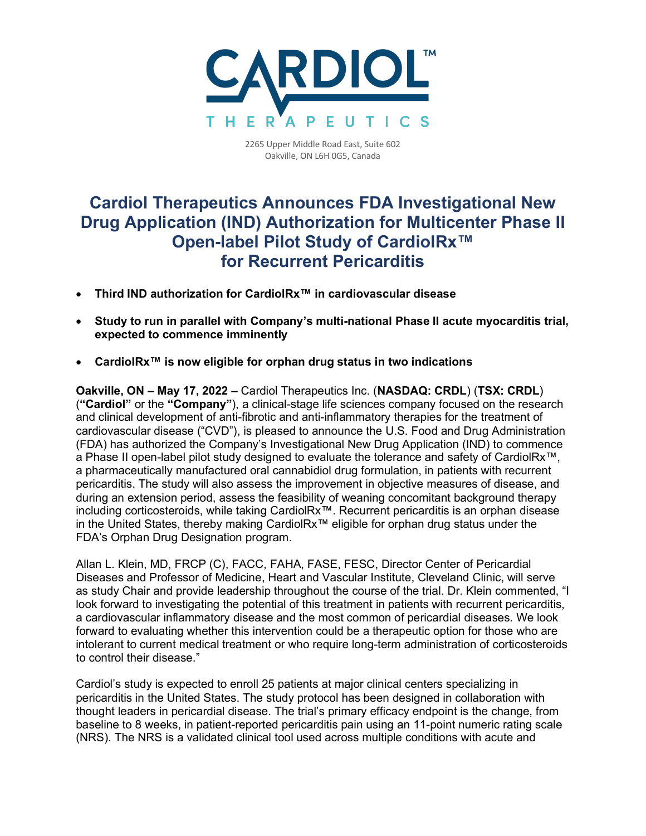

2265 Upper Middle Road East, Suite 602 Oakville, ON L6H 0G5, Canada

## **Cardiol Therapeutics Announces FDA Investigational New Drug Application (IND) Authorization for Multicenter Phase II Open-label Pilot Study of CardiolRx™ for Recurrent Pericarditis**

- **Third IND authorization for CardiolRx™ in cardiovascular disease**
- **Study to run in parallel with Company's multi-national Phase II acute myocarditis trial, expected to commence imminently**
- **CardiolRx™ is now eligible for orphan drug status in two indications**

**Oakville, ON – May 17, 2022 –** Cardiol Therapeutics Inc. (**NASDAQ: CRDL**) (**TSX: CRDL**) (**"Cardiol"** or the **"Company"**), a clinical-stage life sciences company focused on the research and clinical development of anti-fibrotic and anti-inflammatory therapies for the treatment of cardiovascular disease ("CVD"), is pleased to announce the U.S. Food and Drug Administration (FDA) has authorized the Company's Investigational New Drug Application (IND) to commence a Phase II open-label pilot study designed to evaluate the tolerance and safety of CardiolRx™, a pharmaceutically manufactured oral cannabidiol drug formulation, in patients with recurrent pericarditis. The study will also assess the improvement in objective measures of disease, and during an extension period, assess the feasibility of weaning concomitant background therapy including corticosteroids, while taking CardiolRx™. Recurrent pericarditis is an orphan disease in the United States, thereby making CardiolRx™ eligible for orphan drug status under the FDA's Orphan Drug Designation program.

Allan L. Klein, MD, FRCP (C), FACC, FAHA, FASE, FESC, Director Center of Pericardial Diseases and Professor of Medicine, Heart and Vascular Institute, Cleveland Clinic, will serve as study Chair and provide leadership throughout the course of the trial. Dr. Klein commented, "I look forward to investigating the potential of this treatment in patients with recurrent pericarditis, a cardiovascular inflammatory disease and the most common of pericardial diseases. We look forward to evaluating whether this intervention could be a therapeutic option for those who are intolerant to current medical treatment or who require long-term administration of corticosteroids to control their disease."

Cardiol's study is expected to enroll 25 patients at major clinical centers specializing in pericarditis in the United States. The study protocol has been designed in collaboration with thought leaders in pericardial disease. The trial's primary efficacy endpoint is the change, from baseline to 8 weeks, in patient-reported pericarditis pain using an 11-point numeric rating scale (NRS). The NRS is a validated clinical tool used across multiple conditions with acute and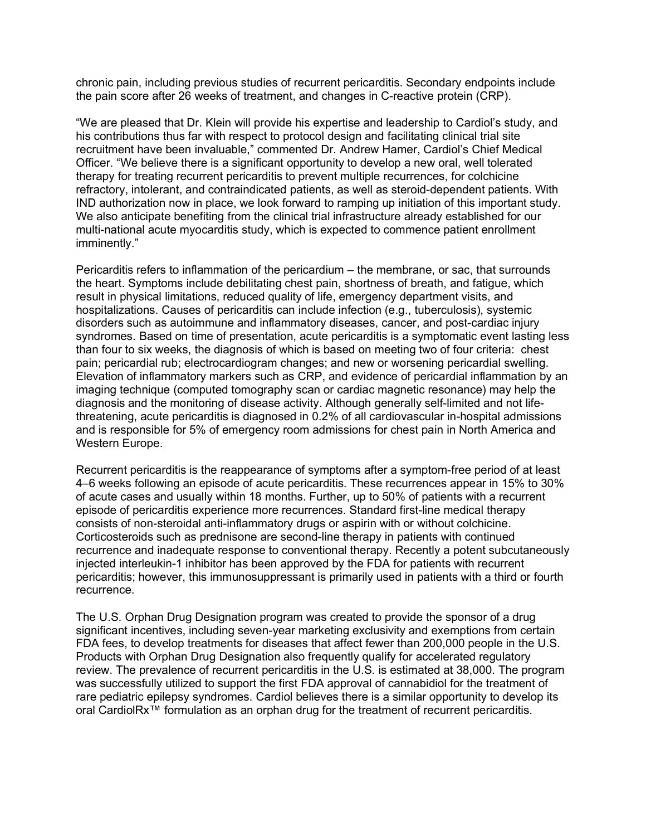chronic pain, including previous studies of recurrent pericarditis. Secondary endpoints include the pain score after 26 weeks of treatment, and changes in C-reactive protein (CRP).

"We are pleased that Dr. Klein will provide his expertise and leadership to Cardiol's study, and his contributions thus far with respect to protocol design and facilitating clinical trial site recruitment have been invaluable," commented Dr. Andrew Hamer, Cardiol's Chief Medical Officer. "We believe there is a significant opportunity to develop a new oral, well tolerated therapy for treating recurrent pericarditis to prevent multiple recurrences, for colchicine refractory, intolerant, and contraindicated patients, as well as steroid-dependent patients. With IND authorization now in place, we look forward to ramping up initiation of this important study. We also anticipate benefiting from the clinical trial infrastructure already established for our multi-national acute myocarditis study, which is expected to commence patient enrollment imminently."

Pericarditis refers to inflammation of the pericardium – the membrane, or sac, that surrounds the heart. Symptoms include debilitating chest pain, shortness of breath, and fatigue, which result in physical limitations, reduced quality of life, emergency department visits, and hospitalizations. Causes of pericarditis can include infection (e.g., tuberculosis), systemic disorders such as autoimmune and inflammatory diseases, cancer, and post-cardiac injury syndromes. Based on time of presentation, acute pericarditis is a symptomatic event lasting less than four to six weeks, the diagnosis of which is based on meeting two of four criteria: chest pain; pericardial rub; electrocardiogram changes; and new or worsening pericardial swelling. Elevation of inflammatory markers such as CRP, and evidence of pericardial inflammation by an imaging technique (computed tomography scan or cardiac magnetic resonance) may help the diagnosis and the monitoring of disease activity. Although generally self-limited and not lifethreatening, acute pericarditis is diagnosed in 0.2% of all cardiovascular in-hospital admissions and is responsible for 5% of emergency room admissions for chest pain in North America and Western Europe.

Recurrent pericarditis is the reappearance of symptoms after a symptom-free period of at least 4–6 weeks following an episode of acute pericarditis. These recurrences appear in 15% to 30% of acute cases and usually within 18 months. Further, up to 50% of patients with a recurrent episode of pericarditis experience more recurrences. Standard first-line medical therapy consists of non-steroidal anti-inflammatory drugs or aspirin with or without colchicine. Corticosteroids such as prednisone are second-line therapy in patients with continued recurrence and inadequate response to conventional therapy. Recently a potent subcutaneously injected interleukin-1 inhibitor has been approved by the FDA for patients with recurrent pericarditis; however, this immunosuppressant is primarily used in patients with a third or fourth recurrence.

The U.S. Orphan Drug Designation program was created to provide the sponsor of a drug significant incentives, including seven-year marketing exclusivity and exemptions from certain FDA fees, to develop treatments for diseases that affect fewer than 200,000 people in the U.S. Products with Orphan Drug Designation also frequently qualify for accelerated regulatory review. The prevalence of recurrent pericarditis in the U.S. is estimated at 38,000. The program was successfully utilized to support the first FDA approval of cannabidiol for the treatment of rare pediatric epilepsy syndromes. Cardiol believes there is a similar opportunity to develop its oral CardiolRx™ formulation as an orphan drug for the treatment of recurrent pericarditis.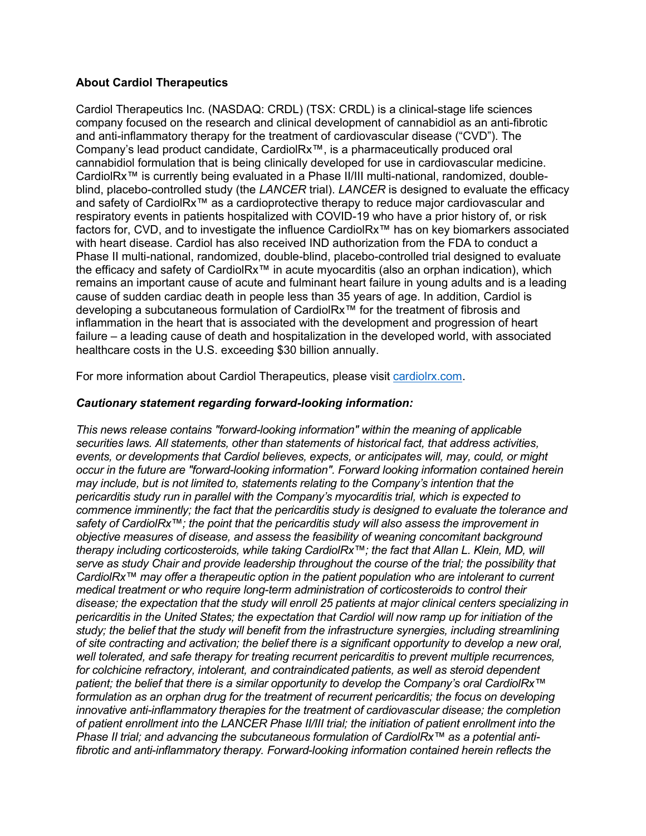## **About Cardiol Therapeutics**

Cardiol Therapeutics Inc. (NASDAQ: CRDL) (TSX: CRDL) is a clinical-stage life sciences company focused on the research and clinical development of cannabidiol as an anti-fibrotic and anti-inflammatory therapy for the treatment of cardiovascular disease ("CVD"). The Company's lead product candidate, CardiolRx™, is a pharmaceutically produced oral cannabidiol formulation that is being clinically developed for use in cardiovascular medicine. CardiolRx™ is currently being evaluated in a Phase II/III multi-national, randomized, doubleblind, placebo-controlled study (the *LANCER* trial). *LANCER* is designed to evaluate the efficacy and safety of CardiolRx™ as a cardioprotective therapy to reduce major cardiovascular and respiratory events in patients hospitalized with COVID-19 who have a prior history of, or risk factors for, CVD, and to investigate the influence CardiolRx™ has on key biomarkers associated with heart disease. Cardiol has also received IND authorization from the FDA to conduct a Phase II multi-national, randomized, double-blind, placebo-controlled trial designed to evaluate the efficacy and safety of CardiolRx™ in acute myocarditis (also an orphan indication), which remains an important cause of acute and fulminant heart failure in young adults and is a leading cause of sudden cardiac death in people less than 35 years of age. In addition, Cardiol is developing a subcutaneous formulation of CardiolRx™ for the treatment of fibrosis and inflammation in the heart that is associated with the development and progression of heart failure – a leading cause of death and hospitalization in the developed world, with associated healthcare costs in the U.S. exceeding \$30 billion annually.

For more information about Cardiol Therapeutics, please visit cardiolrx.com.

## *Cautionary statement regarding forward-looking information:*

*This news release contains "forward-looking information" within the meaning of applicable securities laws. All statements, other than statements of historical fact, that address activities, events, or developments that Cardiol believes, expects, or anticipates will, may, could, or might occur in the future are "forward-looking information". Forward looking information contained herein may include, but is not limited to, statements relating to the Company's intention that the pericarditis study run in parallel with the Company's myocarditis trial, which is expected to commence imminently; the fact that the pericarditis study is designed to evaluate the tolerance and safety of CardiolRx™; the point that the pericarditis study will also assess the improvement in objective measures of disease, and assess the feasibility of weaning concomitant background therapy including corticosteroids, while taking CardiolRx™; the fact that Allan L. Klein, MD, will serve as study Chair and provide leadership throughout the course of the trial; the possibility that CardiolRx™ may offer a therapeutic option in the patient population who are intolerant to current medical treatment or who require long-term administration of corticosteroids to control their disease; the expectation that the study will enroll 25 patients at major clinical centers specializing in pericarditis in the United States; the expectation that Cardiol will now ramp up for initiation of the study; the belief that the study will benefit from the infrastructure synergies, including streamlining of site contracting and activation; the belief there is a significant opportunity to develop a new oral, well tolerated, and safe therapy for treating recurrent pericarditis to prevent multiple recurrences, for colchicine refractory, intolerant, and contraindicated patients, as well as steroid dependent patient; the belief that there is a similar opportunity to develop the Company's oral CardiolRx™ formulation as an orphan drug for the treatment of recurrent pericarditis; the focus on developing innovative anti-inflammatory therapies for the treatment of cardiovascular disease; the completion of patient enrollment into the LANCER Phase II/III trial; the initiation of patient enrollment into the Phase II trial; and advancing the subcutaneous formulation of CardiolRx™ as a potential antifibrotic and anti-inflammatory therapy. Forward-looking information contained herein reflects the*